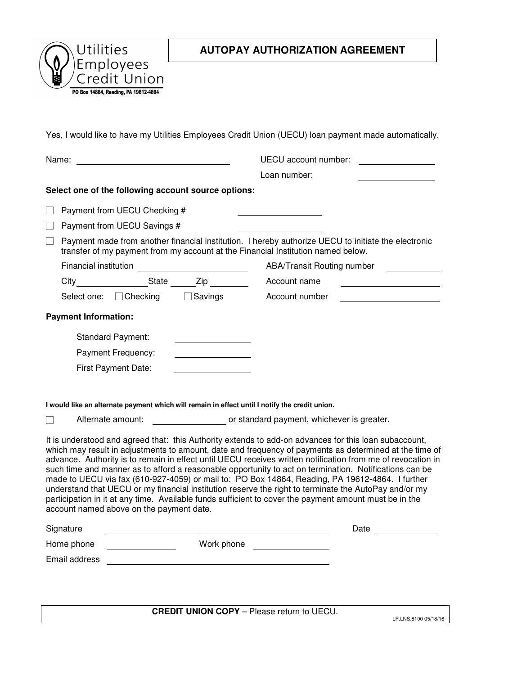

## **AUTOPAY AUTHORIZATION AGREEMENT**

Yes, I would like to have my Utilities Employees Credit Union (UECU) loan payment made automatically.

| Name: <u>________________________</u>                                                                                                                                                                                                                                                                                                                                                                                                                                                                                                                                                                                                                                                                                                                                                                      |                                                                                                                                                                                         |                              |                                               | UECU account number:                                                     |  |  |  |  |
|------------------------------------------------------------------------------------------------------------------------------------------------------------------------------------------------------------------------------------------------------------------------------------------------------------------------------------------------------------------------------------------------------------------------------------------------------------------------------------------------------------------------------------------------------------------------------------------------------------------------------------------------------------------------------------------------------------------------------------------------------------------------------------------------------------|-----------------------------------------------------------------------------------------------------------------------------------------------------------------------------------------|------------------------------|-----------------------------------------------|--------------------------------------------------------------------------|--|--|--|--|
|                                                                                                                                                                                                                                                                                                                                                                                                                                                                                                                                                                                                                                                                                                                                                                                                            |                                                                                                                                                                                         |                              |                                               | Loan number:                                                             |  |  |  |  |
|                                                                                                                                                                                                                                                                                                                                                                                                                                                                                                                                                                                                                                                                                                                                                                                                            | Select one of the following account source options:                                                                                                                                     |                              |                                               |                                                                          |  |  |  |  |
|                                                                                                                                                                                                                                                                                                                                                                                                                                                                                                                                                                                                                                                                                                                                                                                                            | Payment from UECU Checking #                                                                                                                                                            |                              |                                               |                                                                          |  |  |  |  |
|                                                                                                                                                                                                                                                                                                                                                                                                                                                                                                                                                                                                                                                                                                                                                                                                            | Payment from UECU Savings #                                                                                                                                                             |                              |                                               |                                                                          |  |  |  |  |
|                                                                                                                                                                                                                                                                                                                                                                                                                                                                                                                                                                                                                                                                                                                                                                                                            | Payment made from another financial institution. I hereby authorize UECU to initiate the electronic<br>transfer of my payment from my account at the Financial Institution named below. |                              |                                               |                                                                          |  |  |  |  |
|                                                                                                                                                                                                                                                                                                                                                                                                                                                                                                                                                                                                                                                                                                                                                                                                            | Financial institution ____________________________                                                                                                                                      |                              |                                               | ABA/Transit Routing number                                               |  |  |  |  |
|                                                                                                                                                                                                                                                                                                                                                                                                                                                                                                                                                                                                                                                                                                                                                                                                            |                                                                                                                                                                                         |                              |                                               | Account name                                                             |  |  |  |  |
|                                                                                                                                                                                                                                                                                                                                                                                                                                                                                                                                                                                                                                                                                                                                                                                                            |                                                                                                                                                                                         | Select one: Checking Savings |                                               | Account number<br><u> 1989 - Jan Barbara Barbara, política establece</u> |  |  |  |  |
|                                                                                                                                                                                                                                                                                                                                                                                                                                                                                                                                                                                                                                                                                                                                                                                                            | <b>Payment Information:</b>                                                                                                                                                             |                              |                                               |                                                                          |  |  |  |  |
|                                                                                                                                                                                                                                                                                                                                                                                                                                                                                                                                                                                                                                                                                                                                                                                                            |                                                                                                                                                                                         | <b>Standard Payment:</b>     | <u> 1980 - Johann Barbara, martin a</u>       |                                                                          |  |  |  |  |
|                                                                                                                                                                                                                                                                                                                                                                                                                                                                                                                                                                                                                                                                                                                                                                                                            |                                                                                                                                                                                         | Payment Frequency:           | <u> 1989 - John Stein, Amerikaansk kan</u>    |                                                                          |  |  |  |  |
|                                                                                                                                                                                                                                                                                                                                                                                                                                                                                                                                                                                                                                                                                                                                                                                                            |                                                                                                                                                                                         | First Payment Date:          |                                               |                                                                          |  |  |  |  |
|                                                                                                                                                                                                                                                                                                                                                                                                                                                                                                                                                                                                                                                                                                                                                                                                            |                                                                                                                                                                                         |                              |                                               |                                                                          |  |  |  |  |
|                                                                                                                                                                                                                                                                                                                                                                                                                                                                                                                                                                                                                                                                                                                                                                                                            |                                                                                                                                                                                         |                              |                                               |                                                                          |  |  |  |  |
|                                                                                                                                                                                                                                                                                                                                                                                                                                                                                                                                                                                                                                                                                                                                                                                                            | I would like an alternate payment which will remain in effect until I notify the credit union.<br>Alternate amount: example and or standard payment, whichever is greater.              |                              |                                               |                                                                          |  |  |  |  |
| It is understood and agreed that: this Authority extends to add-on advances for this loan subaccount,<br>which may result in adjustments to amount, date and frequency of payments as determined at the time of<br>advance. Authority is to remain in effect until UECU receives written notification from me of revocation in<br>such time and manner as to afford a reasonable opportunity to act on termination. Notifications can be<br>made to UECU via fax (610-927-4059) or mail to: PO Box 14864, Reading, PA 19612-4864. I further<br>understand that UECU or my financial institution reserve the right to terminate the AutoPay and/or my<br>participation in it at any time. Available funds sufficient to cover the payment amount must be in the<br>account named above on the payment date. |                                                                                                                                                                                         |                              |                                               |                                                                          |  |  |  |  |
|                                                                                                                                                                                                                                                                                                                                                                                                                                                                                                                                                                                                                                                                                                                                                                                                            | Signature                                                                                                                                                                               |                              |                                               | Date                                                                     |  |  |  |  |
|                                                                                                                                                                                                                                                                                                                                                                                                                                                                                                                                                                                                                                                                                                                                                                                                            | Home phone<br>Work phone<br><u> 1990 - Jan Barbara Barat, prima populație de la proprietat de la proprietat de la proprietat de la proprietat</u>                                       |                              |                                               | <u> 1970 - Jan Barat, prima a</u>                                        |  |  |  |  |
| Email address                                                                                                                                                                                                                                                                                                                                                                                                                                                                                                                                                                                                                                                                                                                                                                                              |                                                                                                                                                                                         |                              | <u> 1980 - Andrea Andrew Maria (h. 1980).</u> |                                                                          |  |  |  |  |
|                                                                                                                                                                                                                                                                                                                                                                                                                                                                                                                                                                                                                                                                                                                                                                                                            |                                                                                                                                                                                         |                              |                                               |                                                                          |  |  |  |  |
|                                                                                                                                                                                                                                                                                                                                                                                                                                                                                                                                                                                                                                                                                                                                                                                                            |                                                                                                                                                                                         |                              |                                               |                                                                          |  |  |  |  |
|                                                                                                                                                                                                                                                                                                                                                                                                                                                                                                                                                                                                                                                                                                                                                                                                            |                                                                                                                                                                                         |                              |                                               |                                                                          |  |  |  |  |

**CREDIT UNION COPY** – Please return to UECU.

LP.LNS.8100 05/18/16